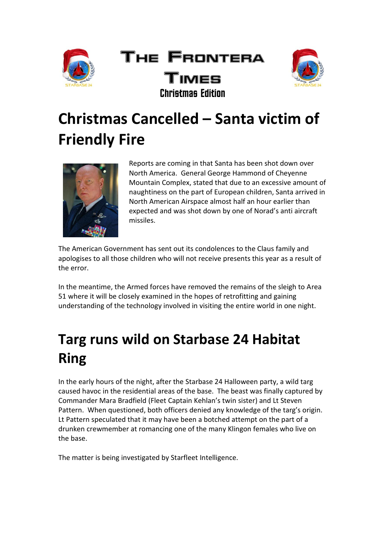

#### The Frontera Times Christmas Edition



## **Christmas Cancelled – Santa victim of Friendly Fire**



Reports are coming in that Santa has been shot down over North America. General George Hammond of Cheyenne Mountain Complex, stated that due to an excessive amount of naughtiness on the part of European children, Santa arrived in North American Airspace almost half an hour earlier than expected and was shot down by one of Norad's anti aircraft missiles.

The American Government has sent out its condolences to the Claus family and apologises to all those children who will not receive presents this year as a result of the error.

In the meantime, the Armed forces have removed the remains of the sleigh to Area 51 where it will be closely examined in the hopes of retrofitting and gaining understanding of the technology involved in visiting the entire world in one night.

### **Targ runs wild on Starbase 24 Habitat Ring**

In the early hours of the night, after the Starbase 24 Halloween party, a wild targ caused havoc in the residential areas of the base. The beast was finally captured by Commander Mara Bradfield (Fleet Captain Kehlan's twin sister) and Lt Steven Pattern. When questioned, both officers denied any knowledge of the targ's origin. Lt Pattern speculated that it may have been a botched attempt on the part of a drunken crewmember at romancing one of the many Klingon females who live on the base.

The matter is being investigated by Starfleet Intelligence.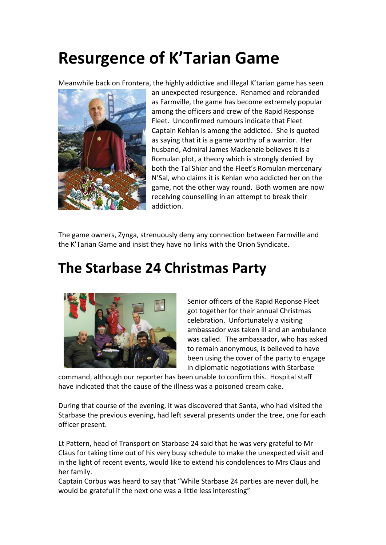## **Resurgence of K'Tarian Game**

Meanwhile back on Frontera, the highly addictive and illegal K'tarian game has seen



an unexpected resurgence. Renamed and rebranded as Farmville, the game has become extremely popular among the officers and crew of the Rapid Response Fleet. Unconfirmed rumours indicate that Fleet Captain Kehlan is among the addicted. She is quoted as saying that it is a game worthy of a warrior. Her husband, Admiral James Mackenzie believes it is a Romulan plot, a theory which is strongly denied by both the Tal Shiar and the Fleet's Romulan mercenary N'Sal, who claims it is Kehlan who addicted her on the game, not the other way round. Both women are now receiving counselling in an attempt to break their addiction.

The game owners, Zynga, strenuously deny any connection between Farmville and the K'Tarian Game and insist they have no links with the Orion Syndicate.

#### **The Starbase 24 Christmas Party**



Senior officers of the Rapid Reponse Fleet got together for their annual Christmas celebration. Unfortunately a visiting ambassador was taken ill and an ambulance was called. The ambassador, who has asked to remain anonymous, is believed to have been using the cover of the party to engage in diplomatic negotiations with Starbase

command, although our reporter has been unable to confirm this. Hospital staff have indicated that the cause of the illness was a poisoned cream cake.

During that course of the evening, it was discovered that Santa, who had visited the Starbase the previous evening, had left several presents under the tree, one for each officer present.

Lt Pattern, head of Transport on Starbase 24 said that he was very grateful to Mr Claus for taking time out of his very busy schedule to make the unexpected visit and in the light of recent events, would like to extend his condolences to Mrs Claus and her family.

Captain Corbus was heard to say that "While Starbase 24 parties are never dull, he would be grateful if the next one was a little less interesting"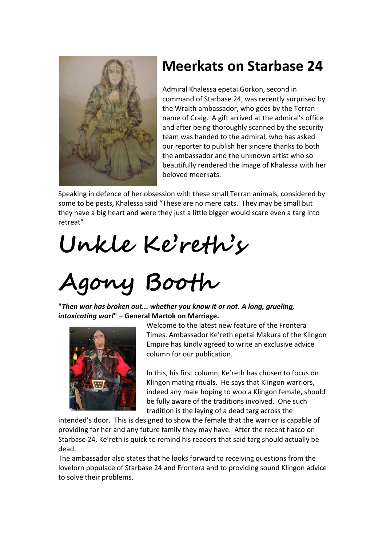

#### **Meerkats on Starbase 24**

Admiral Khalessa epetai Gorkon, second in command of Starbase 24, was recently surprised by the Wraith ambassador, who goes by the Terran name of Craig. A gift arrived at the admiral's office and after being thoroughly scanned by the security team was handed to the admiral, who has asked our reporter to publish her sincere thanks to both the ambassador and the unknown artist who so beautifully rendered the image of Khalessa with her beloved meerkats.

Speaking in defence of her obsession with these small Terran animals, considered by some to be pests, Khalessa said "These are no mere cats. They may be small but they have a big heart and were they just a little bigger would scare even a targ into retreat"

**Unkle Ke'reth's** 

# **Agony Booth**

**"***Then war has broken out... whether you know it or not. A long, grueling, intoxicating war!***" – General Martok on Marriage.** 



Welcome to the latest new feature of the Frontera Times. Ambassador Ke'reth epetai Makura of the Klingon Empire has kindly agreed to write an exclusive advice column for our publication.

In this, his first column, Ke'reth has chosen to focus on Klingon mating rituals. He says that Klingon warriors, indeed any male hoping to woo a Klingon female, should be fully aware of the traditions involved. One such tradition is the laying of a dead targ across the

intended's door. This is designed to show the female that the warrior is capable of providing for her and any future family they may have. After the recent fiasco on Starbase 24, Ke'reth is quick to remind his readers that said targ should actually be dead.

The ambassador also states that he looks forward to receiving questions from the lovelorn populace of Starbase 24 and Frontera and to providing sound Klingon advice to solve their problems.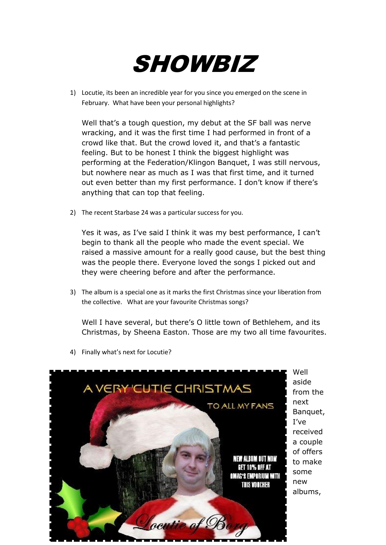

1) Locutie, its been an incredible year for you since you emerged on the scene in February. What have been your personal highlights?

Well that's a tough question, my debut at the SF ball was nerve wracking, and it was the first time I had performed in front of a crowd like that. But the crowd loved it, and that's a fantastic feeling. But to be honest I think the biggest highlight was performing at the Federation/Klingon Banquet, I was still nervous, but nowhere near as much as I was that first time, and it turned out even better than my first performance. I don't know if there's anything that can top that feeling.

2) The recent Starbase 24 was a particular success for you.

Yes it was, as I've said I think it was my best performance, I can't begin to thank all the people who made the event special. We raised a massive amount for a really good cause, but the best thing was the people there. Everyone loved the songs I picked out and they were cheering before and after the performance.

3) The album is a special one as it marks the first Christmas since your liberation from the collective. What are your favourite Christmas songs?

Well I have several, but there's O little town of Bethlehem, and its Christmas, by Sheena Easton. Those are my two all time favourites.



4) Finally what's next for Locutie?

Well aside from the next Banquet, I've received a couple of offers to make some new albums,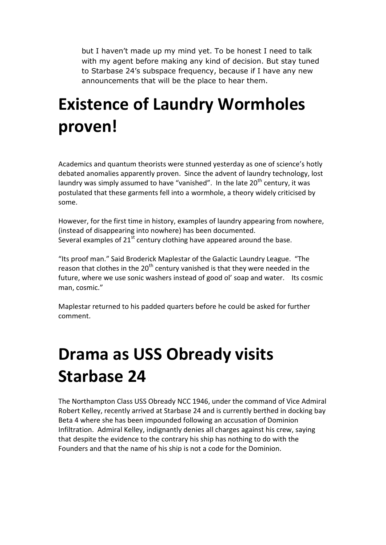but I haven't made up my mind yet. To be honest I need to talk with my agent before making any kind of decision. But stay tuned to Starbase 24's subspace frequency, because if I have any new announcements that will be the place to hear them.

## **Existence of Laundry Wormholes proven!**

Academics and quantum theorists were stunned yesterday as one of science's hotly debated anomalies apparently proven. Since the advent of laundry technology, lost laundry was simply assumed to have "vanished". In the late  $20<sup>th</sup>$  century, it was postulated that these garments fell into a wormhole, a theory widely criticised by some.

However, for the first time in history, examples of laundry appearing from nowhere, (instead of disappearing into nowhere) has been documented. Several examples of  $21<sup>st</sup>$  century clothing have appeared around the base.

"Its proof man." Said Broderick Maplestar of the Galactic Laundry League. "The reason that clothes in the  $20<sup>th</sup>$  century vanished is that they were needed in the future, where we use sonic washers instead of good ol' soap and water. Its cosmic man, cosmic."

Maplestar returned to his padded quarters before he could be asked for further comment.

## **Drama as USS Obready visits Starbase 24**

The Northampton Class USS Obready NCC 1946, under the command of Vice Admiral Robert Kelley, recently arrived at Starbase 24 and is currently berthed in docking bay Beta 4 where she has been impounded following an accusation of Dominion Infiltration. Admiral Kelley, indignantly denies all charges against his crew, saying that despite the evidence to the contrary his ship has nothing to do with the Founders and that the name of his ship is not a code for the Dominion.